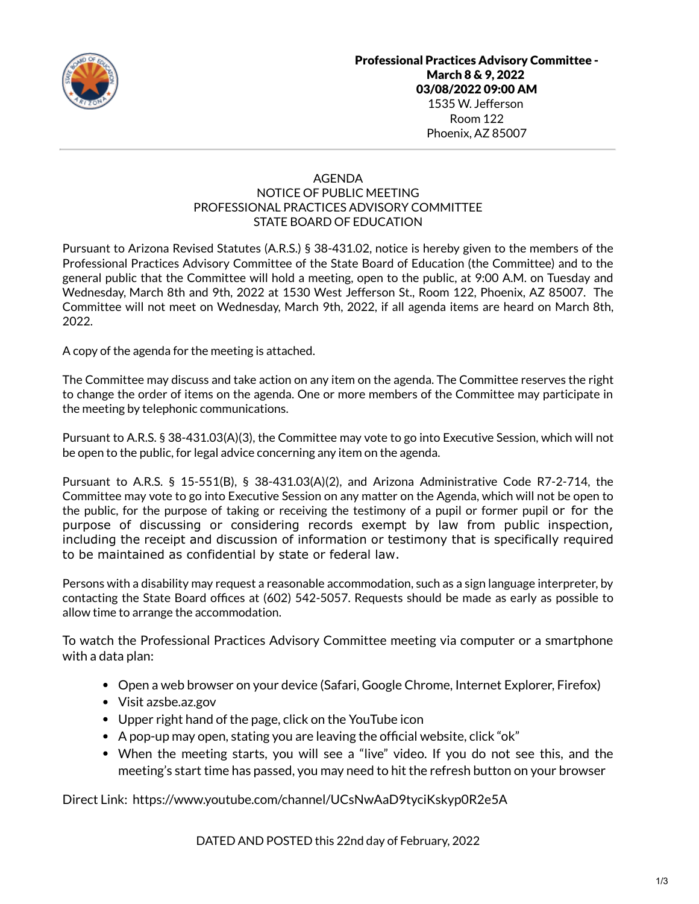

# AGENDA NOTICE OF PUBLIC MEETING PROFESSIONAL PRACTICES ADVISORY COMMITTEE STATE BOARD OF EDUCATION

Pursuant to Arizona Revised Statutes (A.R.S.) § 38-431.02, notice is hereby given to the members of the Professional Practices Advisory Committee of the State Board of Education (the Committee) and to the general public that the Committee will hold a meeting, open to the public, at 9:00 A.M. on Tuesday and Wednesday, March 8th and 9th, 2022 at 1530 West Jefferson St., Room 122, Phoenix, AZ 85007. The Committee will not meet on Wednesday, March 9th, 2022, if all agenda items are heard on March 8th, 2022.

A copy of the agenda for the meeting is attached.

The Committee may discuss and take action on any item on the agenda. The Committee reserves the right to change the order of items on the agenda. One or more members of the Committee may participate in the meeting by telephonic communications.

Pursuant to A.R.S. § 38-431.03(A)(3), the Committee may vote to go into Executive Session, which will not be open to the public, for legal advice concerning any item on the agenda.

Pursuant to A.R.S. § 15-551(B), § 38-431.03(A)(2), and Arizona Administrative Code R7-2-714, the Committee may vote to go into Executive Session on any matter on the Agenda, which will not be open to the public, for the purpose of taking or receiving the testimony of a pupil or former pupil or for the purpose of discussing or considering records exempt by law from public inspection, including the receipt and discussion of information or testimony that is specifically required to be maintained as confidential by state or federal law.

Persons with a disability may request a reasonable accommodation, such as a sign language interpreter, by contacting the State Board offices at (602) 542-5057. Requests should be made as early as possible to allow time to arrange the accommodation.

To watch the Professional Practices Advisory Committee meeting via computer or a smartphone with a data plan:

- Open a web browser on your device (Safari, Google Chrome, Internet Explorer, Firefox)
- Visit azsbe.az.gov
- Upper right hand of the page, click on the YouTube icon
- A pop-up may open, stating you are leaving the official website, click "ok"
- When the meeting starts, you will see a "live" video. If you do not see this, and the meeting's start time has passed, you may need to hit the refresh button on your browser

Direct Link: https://www.youtube.com/channel/UCsNwAaD9tyciKskyp0R2e5A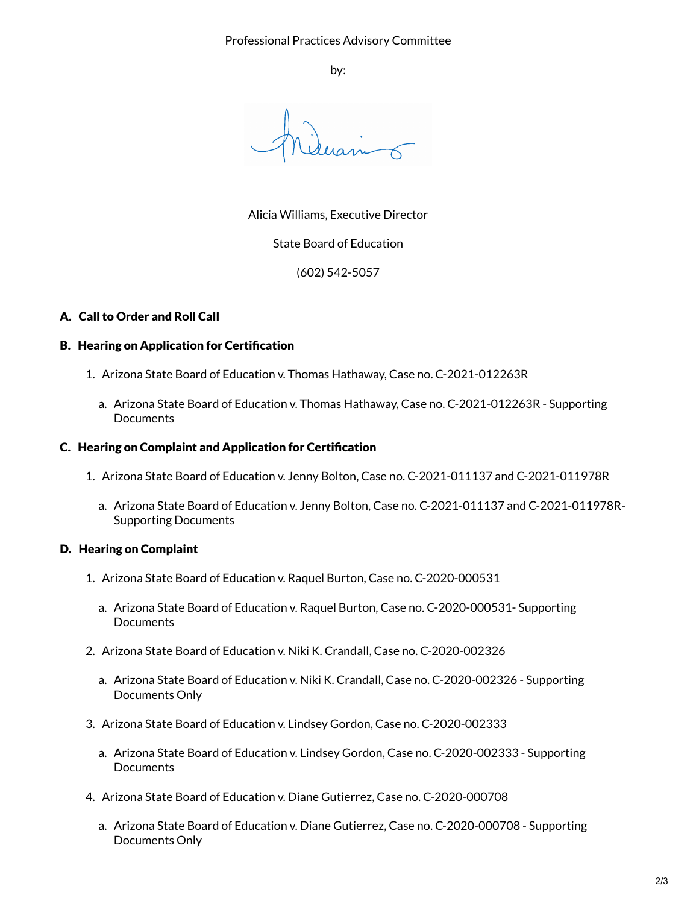by:

Alicia Williams, Executive Director

State Board of Education

(602) 542-5057

# A. Call to Order and Roll Call

### B. Hearing on Application for Certification

- 1. Arizona State Board of Education v. Thomas Hathaway, Case no. C-2021-012263R
	- a. Arizona State Board of Education v. Thomas Hathaway, Case no. C-2021-012263R Supporting **Documents**

#### C. Hearing on Complaint and Application for Certification

- 1. Arizona State Board of Education v. Jenny Bolton, Case no. C-2021-011137 and C-2021-011978R
	- a. Arizona State Board of Education v. Jenny Bolton, Case no. C-2021-011137 and C-2021-011978R-Supporting Documents

### D. Hearing on Complaint

- 1. Arizona State Board of Education v. Raquel Burton, Case no. C-2020-000531
	- a. Arizona State Board of Education v. Raquel Burton, Case no. C-2020-000531- Supporting Documents
- 2. Arizona State Board of Education v. Niki K. Crandall, Case no. C-2020-002326
	- a. Arizona State Board of Education v. Niki K. Crandall, Case no. C-2020-002326 Supporting Documents Only
- 3. Arizona State Board of Education v. Lindsey Gordon, Case no. C-2020-002333
	- a. Arizona State Board of Education v. Lindsey Gordon, Case no. C-2020-002333 Supporting **Documents**
- 4. Arizona State Board of Education v. Diane Gutierrez, Case no. C-2020-000708
	- a. Arizona State Board of Education v. Diane Gutierrez, Case no. C-2020-000708 Supporting Documents Only